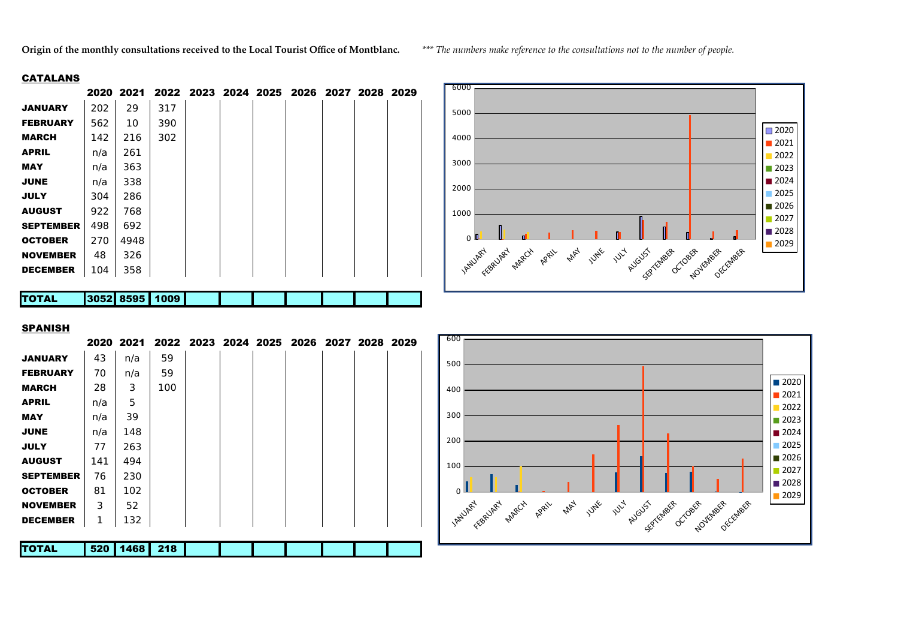**Origin of the monthly consultations received to the Local Tourist Office of Montblanc.** *\*\*\* The numbers make reference to the consultations not to the number of people.*

## **CATALANS**

|                  |      | 2020 2021 |      |  | 2022 2023 2024 2025 2026 2027 2028 2029 |  |  |
|------------------|------|-----------|------|--|-----------------------------------------|--|--|
| <b>JANUARY</b>   | 202  | 29        | 317  |  |                                         |  |  |
| <b>FEBRUARY</b>  | 562  | 10        | 390  |  |                                         |  |  |
| <b>MARCH</b>     | 142  | 216       | 302  |  |                                         |  |  |
| <b>APRIL</b>     | n/a  | 261       |      |  |                                         |  |  |
| <b>MAY</b>       | n/a  | 363       |      |  |                                         |  |  |
| <b>JUNE</b>      | n/a  | 338       |      |  |                                         |  |  |
| <b>JULY</b>      | 304  | 286       |      |  |                                         |  |  |
| <b>AUGUST</b>    | 922  | 768       |      |  |                                         |  |  |
| <b>SEPTEMBER</b> | 498  | 692       |      |  |                                         |  |  |
| <b>OCTOBER</b>   | 270  | 4948      |      |  |                                         |  |  |
| <b>NOVEMBER</b>  | 48   | 326       |      |  |                                         |  |  |
| <b>DECEMBER</b>  | 104  | 358       |      |  |                                         |  |  |
|                  |      |           |      |  |                                         |  |  |
| <b>TOTAL</b>     | 3052 | 8595      | 1009 |  |                                         |  |  |



## SPANISH

|                  |     | 2020 2021 | 2022 2023 2024 2025 2026 2027 2028 2029 |  |  |  |  |
|------------------|-----|-----------|-----------------------------------------|--|--|--|--|
| <b>JANUARY</b>   | 43  | n/a       | 59                                      |  |  |  |  |
| <b>FEBRUARY</b>  | 70  | n/a       | 59                                      |  |  |  |  |
| <b>MARCH</b>     | 28  | 3         | 100                                     |  |  |  |  |
| <b>APRIL</b>     | n/a | 5         |                                         |  |  |  |  |
| <b>MAY</b>       | n/a | 39        |                                         |  |  |  |  |
| <b>JUNE</b>      | n/a | 148       |                                         |  |  |  |  |
| <b>JULY</b>      | 77  | 263       |                                         |  |  |  |  |
| <b>AUGUST</b>    | 141 | 494       |                                         |  |  |  |  |
| <b>SEPTEMBER</b> | 76  | 230       |                                         |  |  |  |  |
| <b>OCTOBER</b>   | 81  | 102       |                                         |  |  |  |  |
| <b>NOVEMBER</b>  | 3   | 52        |                                         |  |  |  |  |
| <b>DECEMBER</b>  | 1   | 132       |                                         |  |  |  |  |
|                  |     |           |                                         |  |  |  |  |
| <b>TOTAL</b>     | 520 | 1468      | 218                                     |  |  |  |  |